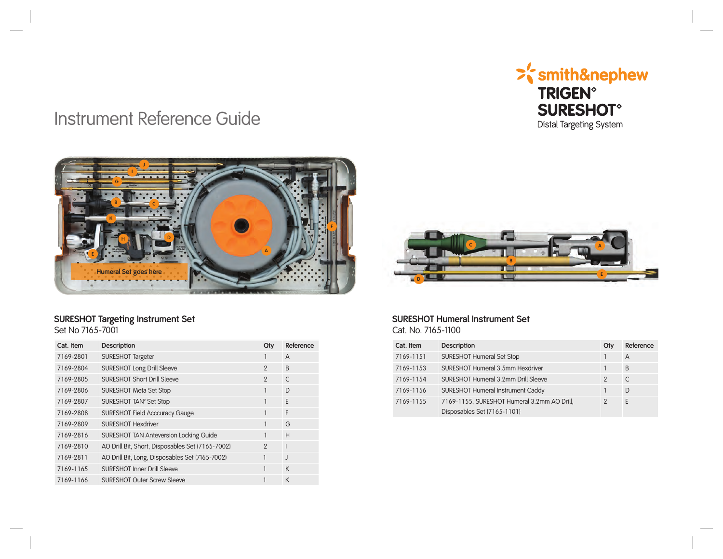

# Instrument Reference Guide



### **SURESHOT Targeting Instrument Set** Set No 7165-7001

| Cat. Item | <b>Description</b>                               | Qty            | Reference    |
|-----------|--------------------------------------------------|----------------|--------------|
| 7169-2801 | SURESHOT Targeter                                |                | A            |
| 7169-2804 | <b>SURESHOT Long Drill Sleeve</b>                | $\mathfrak{p}$ | B            |
| 7169-2805 | <b>SURESHOT Short Drill Sleeve</b>               | $\mathfrak{p}$ | $\mathsf{C}$ |
| 7169-2806 | <b>SURESHOT Meta Set Stop</b>                    | 1              | D            |
| 7169-2807 | SURESHOT TAN <sup>®</sup> Set Stop               |                | E            |
| 7169-2808 | <b>SURESHOT Field Acccuracy Gauge</b>            |                | F            |
| 7169-2809 | <b>SURESHOT Hexdriver</b>                        | 1              | G            |
| 7169-2816 | SURESHOT TAN Anteversion Locking Guide           |                | H            |
| 7169-2810 | AO Drill Bit, Short, Disposables Set (7165-7002) | $\mathcal{P}$  |              |
| 7169-2811 | AO Drill Bit, Long, Disposables Set (7165-7002)  |                | $\mathsf{J}$ |
| 7169-1165 | <b>SURESHOT Inner Drill Sleeve</b>               | 1              | K            |
| 7169-1166 | <b>SURESHOT Outer Screw Sleeve</b>               |                | K            |



#### **SURESHOT Humeral Instrument Set** Cat. No. 7165-1100

| Cat. Item | <b>Description</b>                          | Qty           | Reference |
|-----------|---------------------------------------------|---------------|-----------|
| 7169-1151 | <b>SURESHOT Humeral Set Stop</b>            |               | A         |
| 7169-1153 | SURESHOT Humeral 3.5mm Hexdriver            |               | B         |
| 7169-1154 | SURESHOT Humeral 3.2mm Drill Sleeve         | $\mathcal{P}$ | C         |
| 7169-1156 | <b>SURESHOT Humeral Instrument Caddy</b>    |               | D         |
| 7169-1155 | 7169-1155, SURESHOT Humeral 3.2mm AO Drill, | 2             | E         |
|           | Disposables Set (7165-1101)                 |               |           |